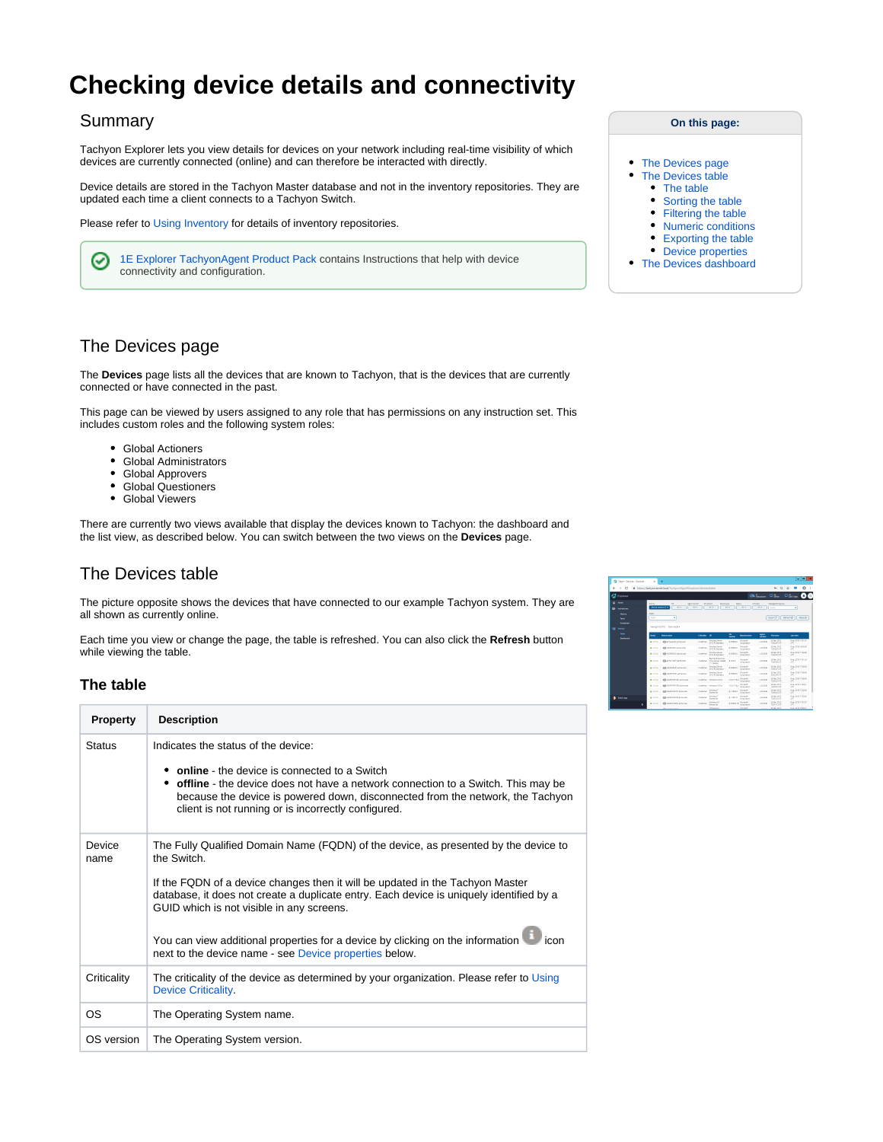# **Checking device details and connectivity**

### Summary

Tachyon Explorer lets you view details for devices on your network including real-time visibility of which devices are currently connected (online) and can therefore be interacted with directly.

Device details are stored in the Tachyon Master database and not in the inventory repositories. They are updated each time a client connects to a Tachyon Switch.

Please refer to [Using Inventory](https://help.1e.com/display/TCN50/Using+Inventory) for details of inventory repositories.

[1E Explorer TachyonAgent Product Pack](https://help.1e.com/display/TCN50/1E+Explorer+TachyonAgent+Product+Pack) contains Instructions that help with device ⊘ connectivity and configuration.

# <span id="page-0-0"></span>The Devices page

The **Devices** page lists all the devices that are known to Tachyon, that is the devices that are currently connected or have connected in the past.

This page can be viewed by users assigned to any role that has permissions on any instruction set. This includes custom roles and the following system roles:

- Global Actioners
- Global Administrators
- $\bullet$ Global Approvers
- Global Questioners  $\bullet$
- $\bullet$ Global Viewers

There are currently two views available that display the devices known to Tachyon: the dashboard and the list view, as described below. You can switch between the two views on the **Devices** page.

# <span id="page-0-1"></span>The Devices table

The picture opposite shows the devices that have connected to our example Tachyon system. They are all shown as currently online.

Each time you view or change the page, the table is refreshed. You can also click the **Refresh** button while viewing the table.

#### <span id="page-0-2"></span>**The table**

| <b>Property</b> | <b>Description</b>                                                                                                                                                                                                                                                                                                                                                                                                                                                     |
|-----------------|------------------------------------------------------------------------------------------------------------------------------------------------------------------------------------------------------------------------------------------------------------------------------------------------------------------------------------------------------------------------------------------------------------------------------------------------------------------------|
| <b>Status</b>   | Indicates the status of the device:<br>• online - the device is connected to a Switch<br>• offline - the device does not have a network connection to a Switch. This may be<br>because the device is powered down, disconnected from the network, the Tachyon<br>client is not running or is incorrectly configured.                                                                                                                                                   |
| Device<br>name  | The Fully Qualified Domain Name (FQDN) of the device, as presented by the device to<br>the Switch<br>If the FQDN of a device changes then it will be updated in the Tachyon Master<br>database, it does not create a duplicate entry. Each device is uniquely identified by a<br>GUID which is not visible in any screens.<br>You can view additional properties for a device by clicking on the information<br>next to the device name - see Device properties below. |
| Criticality     | The criticality of the device as determined by your organization. Please refer to Using<br><b>Device Criticality</b>                                                                                                                                                                                                                                                                                                                                                   |
| ОS              | The Operating System name.                                                                                                                                                                                                                                                                                                                                                                                                                                             |
| OS version      | The Operating System version.                                                                                                                                                                                                                                                                                                                                                                                                                                          |

#### **On this page:**

- [The Devices page](#page-0-0)
- [The Devices table](#page-0-1)
	- [The table](#page-0-2)
	- [Sorting the table](#page-1-0)
	- [Filtering the table](#page-1-1)  $\bullet$
	- [Numeric conditions](#page-2-0)
	- [Exporting the table](#page-2-1)
- [Device properties](#page-2-2) • [The Devices dashboard](#page-2-3)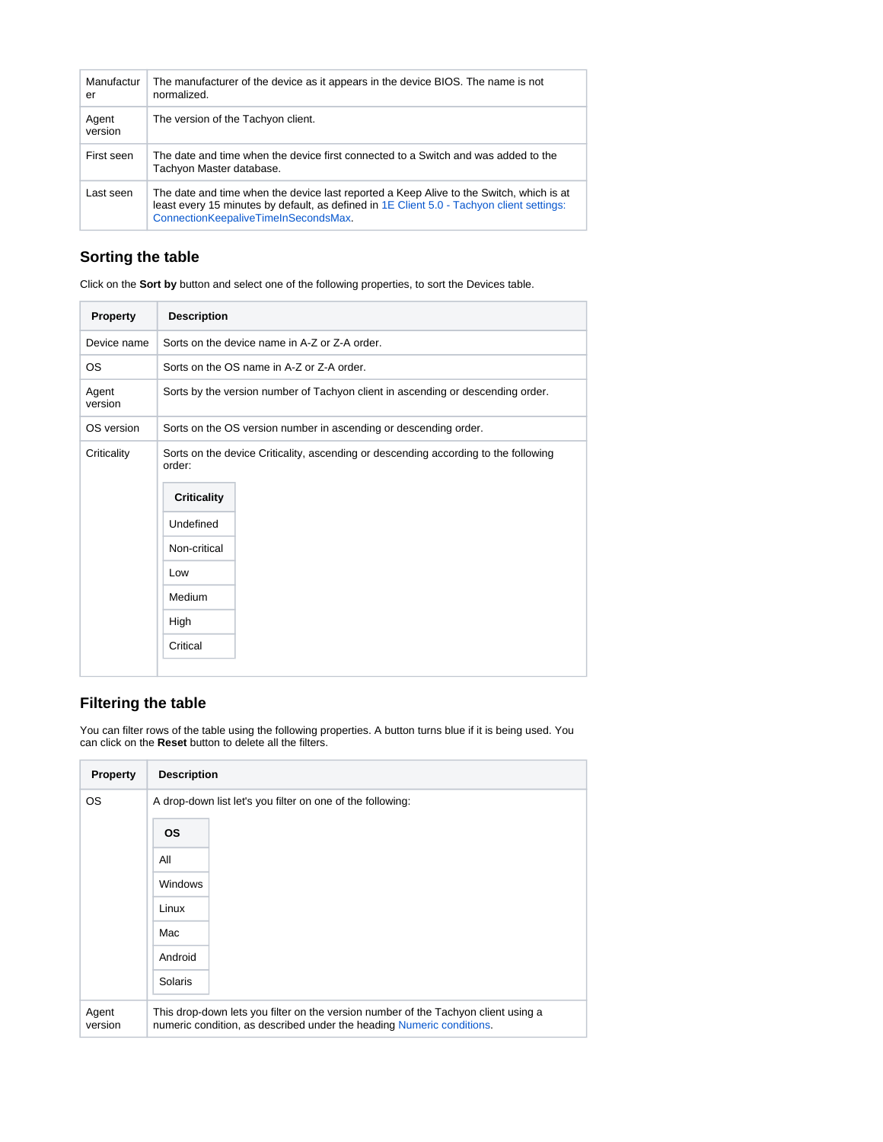| Manufactur<br>er | The manufacturer of the device as it appears in the device BIOS. The name is not<br>normalized.                                                                                                                              |
|------------------|------------------------------------------------------------------------------------------------------------------------------------------------------------------------------------------------------------------------------|
| Agent<br>version | The version of the Tachyon client.                                                                                                                                                                                           |
| First seen       | The date and time when the device first connected to a Switch and was added to the<br>Tachyon Master database.                                                                                                               |
| Last seen        | The date and time when the device last reported a Keep Alive to the Switch, which is at<br>least every 15 minutes by default, as defined in 1E Client 5.0 - Tachyon client settings:<br>ConnectionKeepaliveTimeInSecondsMax. |

# <span id="page-1-0"></span>**Sorting the table**

Click on the **Sort by** button and select one of the following properties, to sort the Devices table.

| Property         | <b>Description</b>                                                                                                                                                                    |  |
|------------------|---------------------------------------------------------------------------------------------------------------------------------------------------------------------------------------|--|
| Device name      | Sorts on the device name in A-Z or Z-A order.                                                                                                                                         |  |
| <b>OS</b>        | Sorts on the OS name in A-Z or Z-A order.                                                                                                                                             |  |
| Agent<br>version | Sorts by the version number of Tachyon client in ascending or descending order.                                                                                                       |  |
| OS version       | Sorts on the OS version number in ascending or descending order.                                                                                                                      |  |
| Criticality      | Sorts on the device Criticality, ascending or descending according to the following<br>order:<br><b>Criticality</b><br>Undefined<br>Non-critical<br>Low<br>Medium<br>High<br>Critical |  |

# <span id="page-1-1"></span>**Filtering the table**

You can filter rows of the table using the following properties. A button turns blue if it is being used. You can click on the **Reset** button to delete all the filters.

| Property         | <b>Description</b>                                                                                                                                          |
|------------------|-------------------------------------------------------------------------------------------------------------------------------------------------------------|
| <b>OS</b>        | A drop-down list let's you filter on one of the following:                                                                                                  |
|                  | <b>OS</b>                                                                                                                                                   |
|                  | All                                                                                                                                                         |
|                  | <b>Windows</b>                                                                                                                                              |
|                  | Linux                                                                                                                                                       |
|                  | Mac                                                                                                                                                         |
|                  | Android                                                                                                                                                     |
|                  | Solaris                                                                                                                                                     |
| Agent<br>version | This drop-down lets you filter on the version number of the Tachyon client using a<br>numeric condition, as described under the heading Numeric conditions. |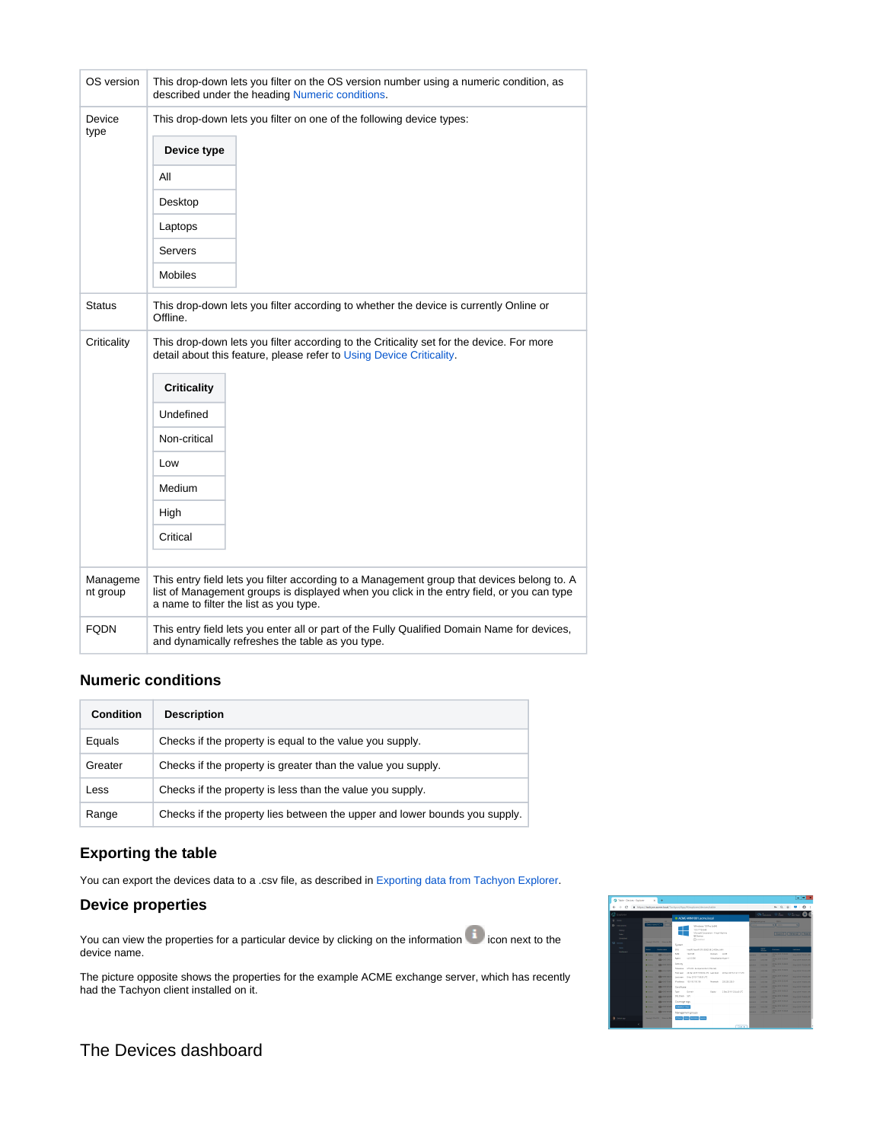| OS version           | This drop-down lets you filter on the OS version number using a numeric condition, as<br>described under the heading Numeric conditions.                                                                                                                 |
|----------------------|----------------------------------------------------------------------------------------------------------------------------------------------------------------------------------------------------------------------------------------------------------|
| Device<br>type       | This drop-down lets you filter on one of the following device types:<br>Device type<br>All<br>Desktop<br>Laptops<br>Servers<br><b>Mobiles</b>                                                                                                            |
| <b>Status</b>        | This drop-down lets you filter according to whether the device is currently Online or<br>Offline.                                                                                                                                                        |
| Criticality          | This drop-down lets you filter according to the Criticality set for the device. For more<br>detail about this feature, please refer to Using Device Criticality.<br><b>Criticality</b><br>Undefined<br>Non-critical<br>Low<br>Medium<br>High<br>Critical |
| Manageme<br>nt group | This entry field lets you filter according to a Management group that devices belong to. A<br>list of Management groups is displayed when you click in the entry field, or you can type<br>a name to filter the list as you type.                        |
| <b>FQDN</b>          | This entry field lets you enter all or part of the Fully Qualified Domain Name for devices,<br>and dynamically refreshes the table as you type.                                                                                                          |

### <span id="page-2-0"></span>**Numeric conditions**

| <b>Condition</b> | <b>Description</b>                                                         |
|------------------|----------------------------------------------------------------------------|
| Equals           | Checks if the property is equal to the value you supply.                   |
| Greater          | Checks if the property is greater than the value you supply.               |
| Less             | Checks if the property is less than the value you supply.                  |
| Range            | Checks if the property lies between the upper and lower bounds you supply. |

#### <span id="page-2-1"></span>**Exporting the table**

You can export the devices data to a .csv file, as described in [Exporting data from Tachyon Explorer](https://help.1e.com/display/TCN50/Exporting+data+from+Tachyon+Explorer).

#### <span id="page-2-2"></span>**Device properties**

You can view the properties for a particular device by clicking on the information icon next to the device name.

The picture opposite shows the properties for the example ACME exchange server, which has recently had the Tachyon client installed on it.



# <span id="page-2-3"></span>The Devices dashboard